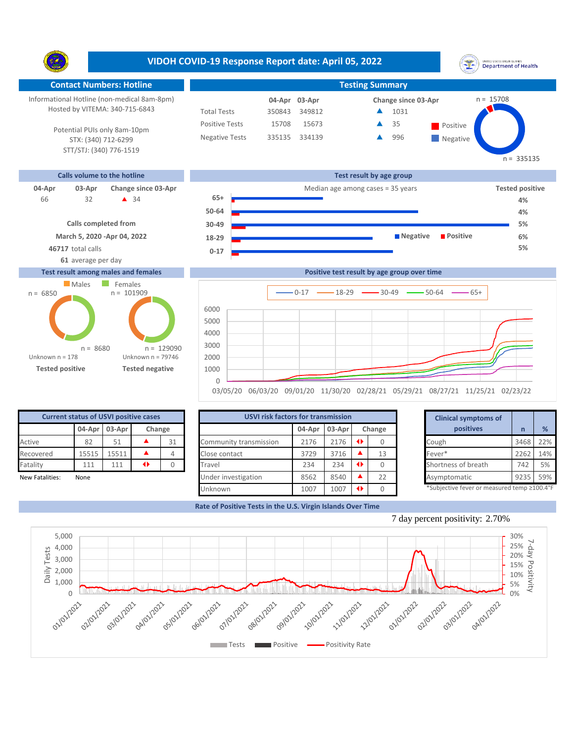**VIDOH COVID-19 Response Report date: April 05, 2022** UNITED STATES VIRGIN SLANDS<br>Department of Health Y. **Contact Numbers: Hotline Testing Summary** Informational Hotline (non-medical 8am-8pm) n = 15708 **03-Apr 04-Apr Change since 03-Apr** Hosted by VITEMA: 340-715-6843 Total Tests 350843 349812 1031 ▲ Â 35 Positive Tests 15708 15673  $\triangle$  35 Positive Potential PUIs only 8am-10pm Negative Tests 335135 334139 996 ▲ **Negative** STX: (340) 712-6299 STT/STJ: (340) 776-1519  $n = 335135$ **Calls volume to the hotline Test result by age group 04-Apr 03-Apr Change since 03-Apr Change since 03-Apr Change and Change among cases = 35 years Tested positive 65+** 32 34 66 **4% 50-64 4% Calls completed from 30-49 5% March 5, 2020 -Apr 04, 2022 Negative Positive 6% 18-29 46717** total calls **5% 0-17 61** average per day **Test result among males and females Positive test result by age group over time Males** Females  $n = 101909$ n = 6850  $0-17$   $\longrightarrow$  18-29  $\longrightarrow$  30-49  $\longrightarrow$  50-64  $\longrightarrow$  65+ **Confirmed cases**



**Tested positive Tested negative**

n = 8680

Unknown n = 79746

n = 129090

Unknown n = 178

|                         | <b>Current status of USVI positive cases</b> |      |                  |    |                                | USVI risk factors for transmission |           |  |    |  | <b>Clinical symptoms of</b>                |      |     |  |
|-------------------------|----------------------------------------------|------|------------------|----|--------------------------------|------------------------------------|-----------|--|----|--|--------------------------------------------|------|-----|--|
| 04-Apr 03-Apr<br>Change |                                              |      | 03-Apr<br>04-Apr |    | Change                         |                                    | positives |  | %  |  |                                            |      |     |  |
| Active                  | 82                                           | 51   |                  | 31 | Community transmission         | 2176                               | 2176      |  |    |  | Cough                                      | 3468 | 22% |  |
| Recovered               | 15515                                        | 5511 |                  |    | Close contact                  | 3729                               | 3716      |  | 13 |  | Fever*                                     | 2262 | 14% |  |
| Fatality                | 111                                          | 111  | $\blacklozenge$  |    | Travel                         | 234                                | 234       |  |    |  | Shortness of breath                        | 742  | 5%  |  |
| New Fatalities:         | None                                         |      |                  |    | Under investigation            | 8562                               | 8540      |  | 22 |  | Asymptomatic                               | 9235 | 59% |  |
|                         |                                              |      |                  |    | 1007<br>1007<br><b>Unknown</b> |                                    |           |  |    |  | *Subjective fever or measured temp ≥100.4° |      |     |  |

|        | for transmission |        |    | <b>Clinical symptoms of</b>                 |      |     |  |  |  |  |
|--------|------------------|--------|----|---------------------------------------------|------|-----|--|--|--|--|
| 04-Apr | $03-Apr$         | Change |    | positives                                   | n    | %   |  |  |  |  |
| 2176   | 2176             | ◆      | 0  | Cough                                       | 3468 | 22% |  |  |  |  |
| 3729   | 3716             |        | 13 | Fever*                                      | 2262 | 14% |  |  |  |  |
| 234    | 234              | ◆      |    | Shortness of breath                         | 742  | 5%  |  |  |  |  |
| 8562   | 8540             |        | 22 | Asymptomatic                                | 9235 | 59% |  |  |  |  |
| 1007   | 1007             | ◆      | 0  | *Subjective fever or measured temp ≥100.4°F |      |     |  |  |  |  |

**Rate of Positive Tests in the U.S. Virgin Islands Over Time**